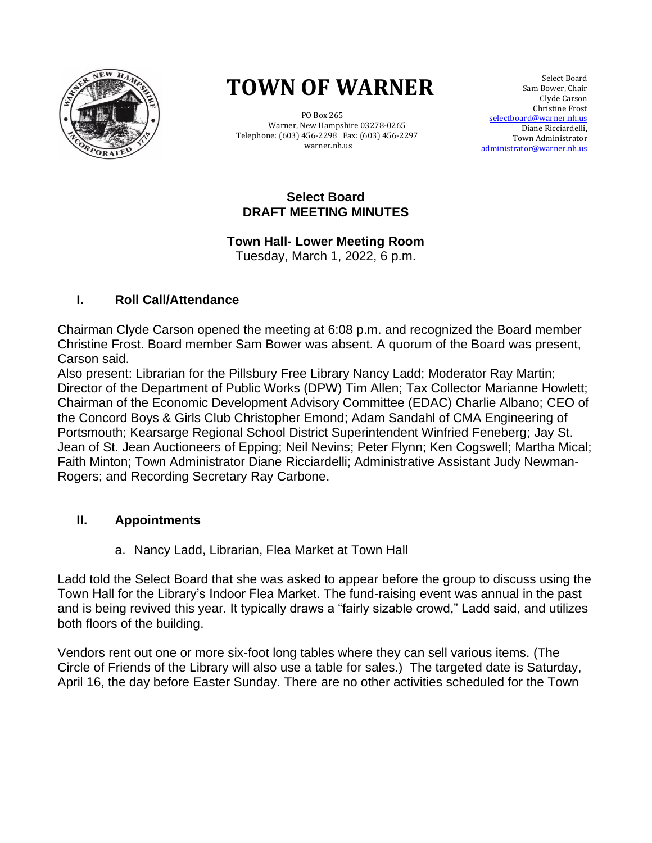

# **TOWN OF WARNER TOWN OF WARNER**

 PO Box 265 PO Box 265 Warner, New Hampshire 03278-0265 Warner, New Hampshire 03278-0265 Telephone: (603) 456-2298 Fax: (603) 456-2297 Telephone: (603) 456-2298 Fax: (603) 456-2297 warner.nh.us warner.nh.us

 Select Board Sam Bower, Chair Clyde Carson Christine Frost selectboard@warner.nh.us Diane Ricciardelli, Town Administrator [administrator@warner.nh.us](mailto:administrator@warner.nh.us)

#### **Select Board DRAFT MEETING MINUTES**

# **Town Hall- Lower Meeting Room**

Tuesday, March 1, 2022, 6 p.m.

# **I. Roll Call/Attendance**

Chairman Clyde Carson opened the meeting at 6:08 p.m. and recognized the Board member Christine Frost. Board member Sam Bower was absent. A quorum of the Board was present, Carson said.

Also present: Librarian for the Pillsbury Free Library Nancy Ladd; Moderator Ray Martin; Director of the Department of Public Works (DPW) Tim Allen; Tax Collector Marianne Howlett; Chairman of the Economic Development Advisory Committee (EDAC) Charlie Albano; CEO of the Concord Boys & Girls Club Christopher Emond; Adam Sandahl of CMA Engineering of Portsmouth; Kearsarge Regional School District Superintendent Winfried Feneberg; Jay St. Jean of St. Jean Auctioneers of Epping; Neil Nevins; Peter Flynn; Ken Cogswell; Martha Mical; Faith Minton; Town Administrator Diane Ricciardelli; Administrative Assistant Judy Newman-Rogers; and Recording Secretary Ray Carbone.

# **II. Appointments**

a. Nancy Ladd, Librarian, Flea Market at Town Hall

Ladd told the Select Board that she was asked to appear before the group to discuss using the Town Hall for the Library's Indoor Flea Market. The fund-raising event was annual in the past and is being revived this year. It typically draws a "fairly sizable crowd," Ladd said, and utilizes both floors of the building.

Vendors rent out one or more six-foot long tables where they can sell various items. (The Circle of Friends of the Library will also use a table for sales.) The targeted date is Saturday, April 16, the day before Easter Sunday. There are no other activities scheduled for the Town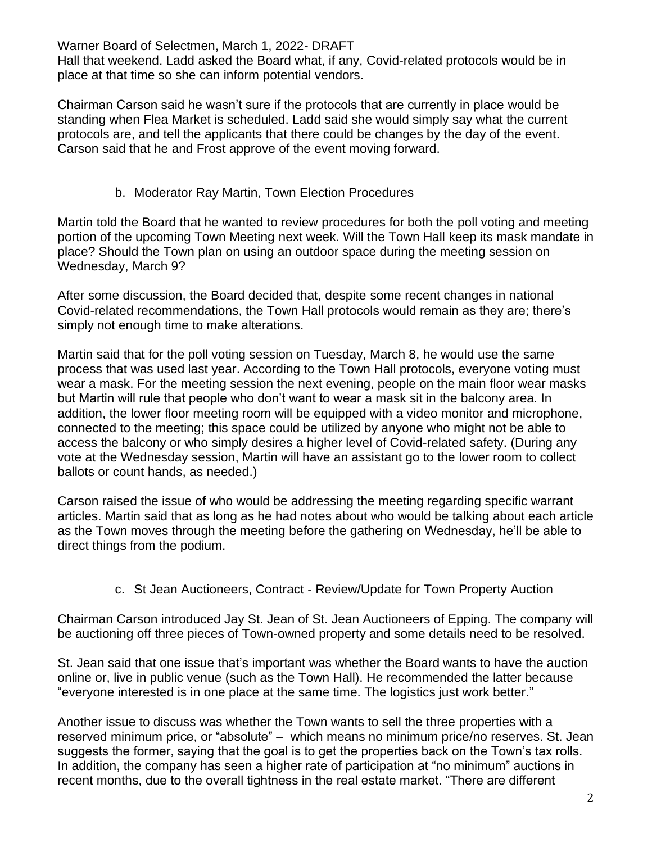Hall that weekend. Ladd asked the Board what, if any, Covid-related protocols would be in place at that time so she can inform potential vendors.

Chairman Carson said he wasn't sure if the protocols that are currently in place would be standing when Flea Market is scheduled. Ladd said she would simply say what the current protocols are, and tell the applicants that there could be changes by the day of the event. Carson said that he and Frost approve of the event moving forward.

b. Moderator Ray Martin, Town Election Procedures

Martin told the Board that he wanted to review procedures for both the poll voting and meeting portion of the upcoming Town Meeting next week. Will the Town Hall keep its mask mandate in place? Should the Town plan on using an outdoor space during the meeting session on Wednesday, March 9?

After some discussion, the Board decided that, despite some recent changes in national Covid-related recommendations, the Town Hall protocols would remain as they are; there's simply not enough time to make alterations.

Martin said that for the poll voting session on Tuesday, March 8, he would use the same process that was used last year. According to the Town Hall protocols, everyone voting must wear a mask. For the meeting session the next evening, people on the main floor wear masks but Martin will rule that people who don't want to wear a mask sit in the balcony area. In addition, the lower floor meeting room will be equipped with a video monitor and microphone, connected to the meeting; this space could be utilized by anyone who might not be able to access the balcony or who simply desires a higher level of Covid-related safety. (During any vote at the Wednesday session, Martin will have an assistant go to the lower room to collect ballots or count hands, as needed.)

Carson raised the issue of who would be addressing the meeting regarding specific warrant articles. Martin said that as long as he had notes about who would be talking about each article as the Town moves through the meeting before the gathering on Wednesday, he'll be able to direct things from the podium.

c. St Jean Auctioneers, Contract - Review/Update for Town Property Auction

Chairman Carson introduced Jay St. Jean of St. Jean Auctioneers of Epping. The company will be auctioning off three pieces of Town-owned property and some details need to be resolved.

St. Jean said that one issue that's important was whether the Board wants to have the auction online or, live in public venue (such as the Town Hall). He recommended the latter because "everyone interested is in one place at the same time. The logistics just work better."

Another issue to discuss was whether the Town wants to sell the three properties with a reserved minimum price, or "absolute" – which means no minimum price/no reserves. St. Jean suggests the former, saying that the goal is to get the properties back on the Town's tax rolls. In addition, the company has seen a higher rate of participation at "no minimum" auctions in recent months, due to the overall tightness in the real estate market. "There are different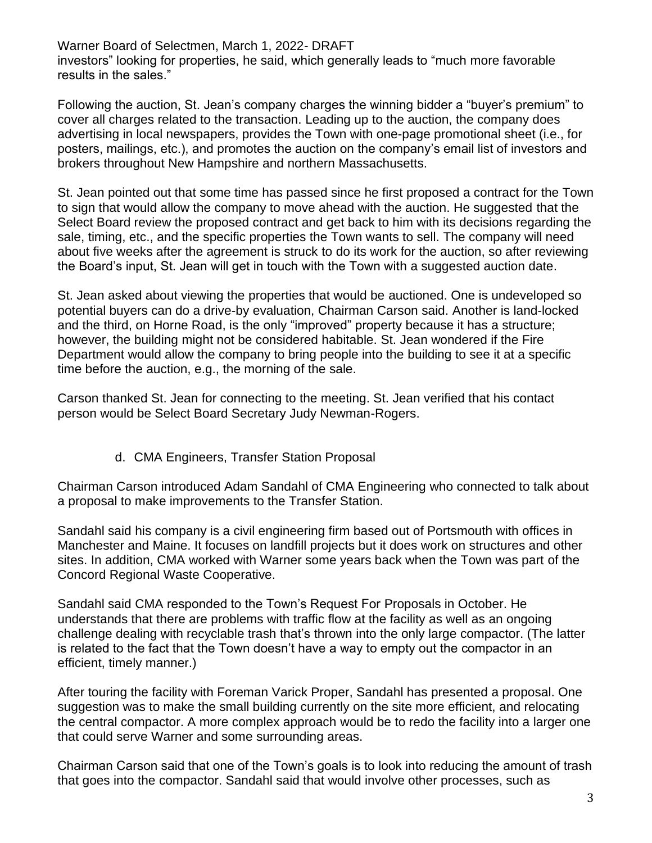Warner Board of Selectmen, March 1, 2022- DRAFT investors" looking for properties, he said, which generally leads to "much more favorable results in the sales."

Following the auction, St. Jean's company charges the winning bidder a "buyer's premium" to cover all charges related to the transaction. Leading up to the auction, the company does advertising in local newspapers, provides the Town with one-page promotional sheet (i.e., for posters, mailings, etc.), and promotes the auction on the company's email list of investors and brokers throughout New Hampshire and northern Massachusetts.

St. Jean pointed out that some time has passed since he first proposed a contract for the Town to sign that would allow the company to move ahead with the auction. He suggested that the Select Board review the proposed contract and get back to him with its decisions regarding the sale, timing, etc., and the specific properties the Town wants to sell. The company will need about five weeks after the agreement is struck to do its work for the auction, so after reviewing the Board's input, St. Jean will get in touch with the Town with a suggested auction date.

St. Jean asked about viewing the properties that would be auctioned. One is undeveloped so potential buyers can do a drive-by evaluation, Chairman Carson said. Another is land-locked and the third, on Horne Road, is the only "improved" property because it has a structure; however, the building might not be considered habitable. St. Jean wondered if the Fire Department would allow the company to bring people into the building to see it at a specific time before the auction, e.g., the morning of the sale.

Carson thanked St. Jean for connecting to the meeting. St. Jean verified that his contact person would be Select Board Secretary Judy Newman-Rogers.

#### d. CMA Engineers, Transfer Station Proposal

Chairman Carson introduced Adam Sandahl of CMA Engineering who connected to talk about a proposal to make improvements to the Transfer Station.

Sandahl said his company is a civil engineering firm based out of Portsmouth with offices in Manchester and Maine. It focuses on landfill projects but it does work on structures and other sites. In addition, CMA worked with Warner some years back when the Town was part of the Concord Regional Waste Cooperative.

Sandahl said CMA responded to the Town's Request For Proposals in October. He understands that there are problems with traffic flow at the facility as well as an ongoing challenge dealing with recyclable trash that's thrown into the only large compactor. (The latter is related to the fact that the Town doesn't have a way to empty out the compactor in an efficient, timely manner.)

After touring the facility with Foreman Varick Proper, Sandahl has presented a proposal. One suggestion was to make the small building currently on the site more efficient, and relocating the central compactor. A more complex approach would be to redo the facility into a larger one that could serve Warner and some surrounding areas.

Chairman Carson said that one of the Town's goals is to look into reducing the amount of trash that goes into the compactor. Sandahl said that would involve other processes, such as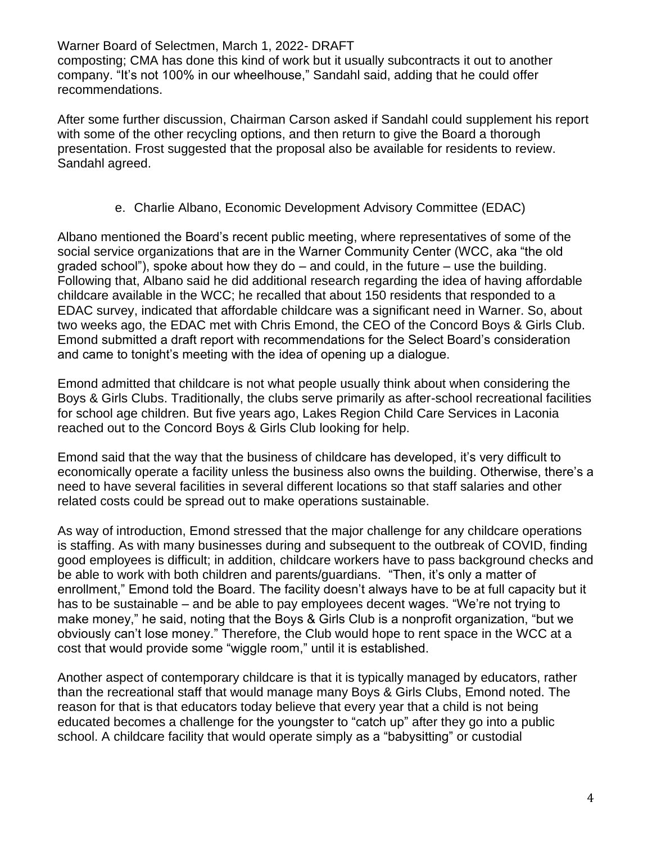composting; CMA has done this kind of work but it usually subcontracts it out to another company. "It's not 100% in our wheelhouse," Sandahl said, adding that he could offer recommendations.

After some further discussion, Chairman Carson asked if Sandahl could supplement his report with some of the other recycling options, and then return to give the Board a thorough presentation. Frost suggested that the proposal also be available for residents to review. Sandahl agreed.

#### e. Charlie Albano, Economic Development Advisory Committee (EDAC)

Albano mentioned the Board's recent public meeting, where representatives of some of the social service organizations that are in the Warner Community Center (WCC, aka "the old graded school"), spoke about how they do  $-$  and could, in the future  $-$  use the building. Following that, Albano said he did additional research regarding the idea of having affordable childcare available in the WCC; he recalled that about 150 residents that responded to a EDAC survey, indicated that affordable childcare was a significant need in Warner. So, about two weeks ago, the EDAC met with Chris Emond, the CEO of the Concord Boys & Girls Club. Emond submitted a draft report with recommendations for the Select Board's consideration and came to tonight's meeting with the idea of opening up a dialogue.

Emond admitted that childcare is not what people usually think about when considering the Boys & Girls Clubs. Traditionally, the clubs serve primarily as after-school recreational facilities for school age children. But five years ago, Lakes Region Child Care Services in Laconia reached out to the Concord Boys & Girls Club looking for help.

Emond said that the way that the business of childcare has developed, it's very difficult to economically operate a facility unless the business also owns the building. Otherwise, there's a need to have several facilities in several different locations so that staff salaries and other related costs could be spread out to make operations sustainable.

As way of introduction, Emond stressed that the major challenge for any childcare operations is staffing. As with many businesses during and subsequent to the outbreak of COVID, finding good employees is difficult; in addition, childcare workers have to pass background checks and be able to work with both children and parents/guardians. "Then, it's only a matter of enrollment," Emond told the Board. The facility doesn't always have to be at full capacity but it has to be sustainable – and be able to pay employees decent wages. "We're not trying to make money," he said, noting that the Boys & Girls Club is a nonprofit organization, "but we obviously can't lose money." Therefore, the Club would hope to rent space in the WCC at a cost that would provide some "wiggle room," until it is established.

Another aspect of contemporary childcare is that it is typically managed by educators, rather than the recreational staff that would manage many Boys & Girls Clubs, Emond noted. The reason for that is that educators today believe that every year that a child is not being educated becomes a challenge for the youngster to "catch up" after they go into a public school. A childcare facility that would operate simply as a "babysitting" or custodial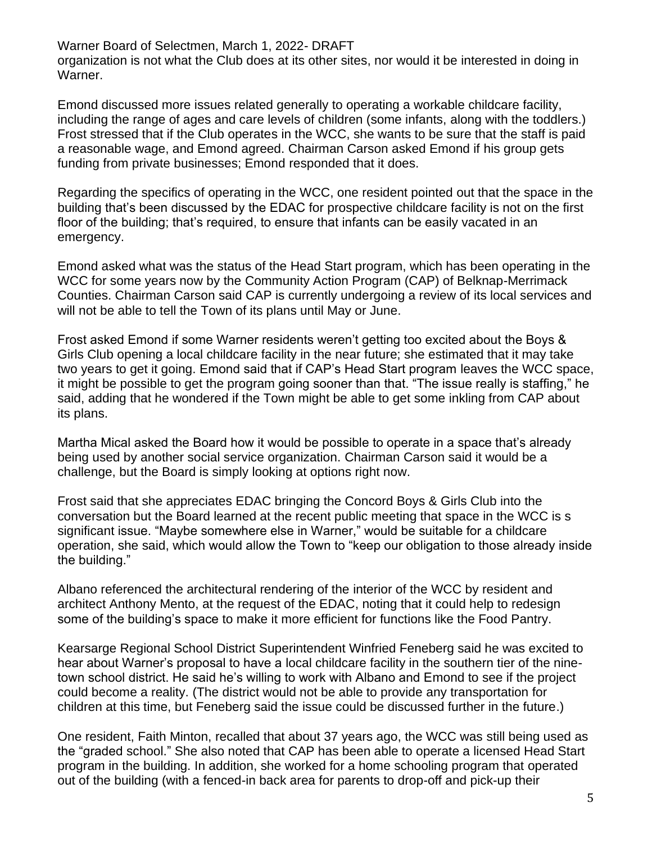Warner Board of Selectmen, March 1, 2022- DRAFT organization is not what the Club does at its other sites, nor would it be interested in doing in Warner.

Emond discussed more issues related generally to operating a workable childcare facility, including the range of ages and care levels of children (some infants, along with the toddlers.) Frost stressed that if the Club operates in the WCC, she wants to be sure that the staff is paid a reasonable wage, and Emond agreed. Chairman Carson asked Emond if his group gets funding from private businesses; Emond responded that it does.

Regarding the specifics of operating in the WCC, one resident pointed out that the space in the building that's been discussed by the EDAC for prospective childcare facility is not on the first floor of the building; that's required, to ensure that infants can be easily vacated in an emergency.

Emond asked what was the status of the Head Start program, which has been operating in the WCC for some years now by the Community Action Program (CAP) of Belknap-Merrimack Counties. Chairman Carson said CAP is currently undergoing a review of its local services and will not be able to tell the Town of its plans until May or June.

Frost asked Emond if some Warner residents weren't getting too excited about the Boys & Girls Club opening a local childcare facility in the near future; she estimated that it may take two years to get it going. Emond said that if CAP's Head Start program leaves the WCC space, it might be possible to get the program going sooner than that. "The issue really is staffing," he said, adding that he wondered if the Town might be able to get some inkling from CAP about its plans.

Martha Mical asked the Board how it would be possible to operate in a space that's already being used by another social service organization. Chairman Carson said it would be a challenge, but the Board is simply looking at options right now.

Frost said that she appreciates EDAC bringing the Concord Boys & Girls Club into the conversation but the Board learned at the recent public meeting that space in the WCC is s significant issue. "Maybe somewhere else in Warner," would be suitable for a childcare operation, she said, which would allow the Town to "keep our obligation to those already inside the building."

Albano referenced the architectural rendering of the interior of the WCC by resident and architect Anthony Mento, at the request of the EDAC, noting that it could help to redesign some of the building's space to make it more efficient for functions like the Food Pantry.

Kearsarge Regional School District Superintendent Winfried Feneberg said he was excited to hear about Warner's proposal to have a local childcare facility in the southern tier of the ninetown school district. He said he's willing to work with Albano and Emond to see if the project could become a reality. (The district would not be able to provide any transportation for children at this time, but Feneberg said the issue could be discussed further in the future.)

One resident, Faith Minton, recalled that about 37 years ago, the WCC was still being used as the "graded school." She also noted that CAP has been able to operate a licensed Head Start program in the building. In addition, she worked for a home schooling program that operated out of the building (with a fenced-in back area for parents to drop-off and pick-up their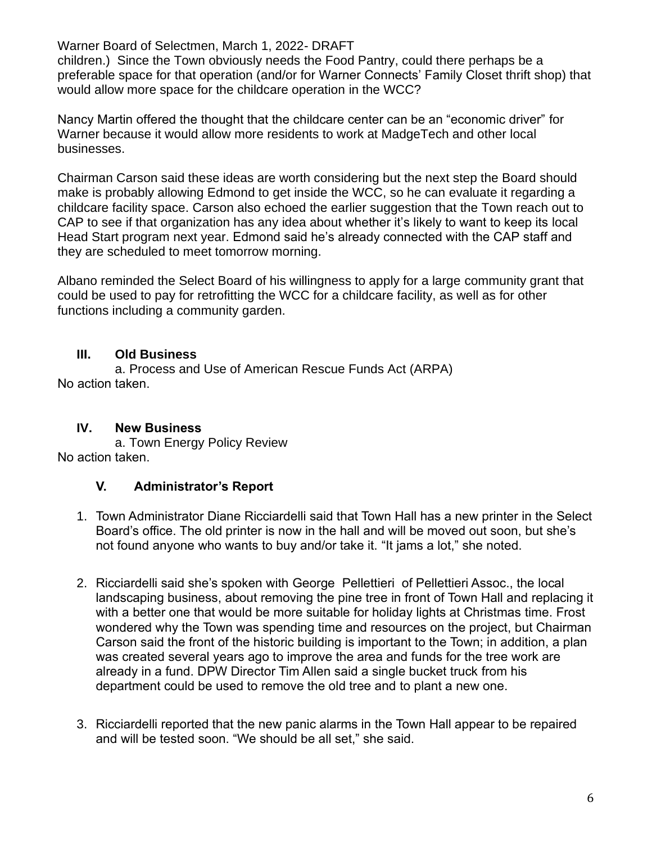children.) Since the Town obviously needs the Food Pantry, could there perhaps be a preferable space for that operation (and/or for Warner Connects' Family Closet thrift shop) that would allow more space for the childcare operation in the WCC?

Nancy Martin offered the thought that the childcare center can be an "economic driver" for Warner because it would allow more residents to work at MadgeTech and other local businesses.

Chairman Carson said these ideas are worth considering but the next step the Board should make is probably allowing Edmond to get inside the WCC, so he can evaluate it regarding a childcare facility space. Carson also echoed the earlier suggestion that the Town reach out to CAP to see if that organization has any idea about whether it's likely to want to keep its local Head Start program next year. Edmond said he's already connected with the CAP staff and they are scheduled to meet tomorrow morning.

Albano reminded the Select Board of his willingness to apply for a large community grant that could be used to pay for retrofitting the WCC for a childcare facility, as well as for other functions including a community garden.

#### **III. Old Business**

a. Process and Use of American Rescue Funds Act (ARPA) No action taken.

#### **IV. New Business**

a. Town Energy Policy Review No action taken.

#### **V. Administrator's Report**

- 1. Town Administrator Diane Ricciardelli said that Town Hall has a new printer in the Select Board's office. The old printer is now in the hall and will be moved out soon, but she's not found anyone who wants to buy and/or take it. "It jams a lot," she noted.
- 2. Ricciardelli said she's spoken with George Pellettieri of Pellettieri Assoc., the local landscaping business, about removing the pine tree in front of Town Hall and replacing it with a better one that would be more suitable for holiday lights at Christmas time. Frost wondered why the Town was spending time and resources on the project, but Chairman Carson said the front of the historic building is important to the Town; in addition, a plan was created several years ago to improve the area and funds for the tree work are already in a fund. DPW Director Tim Allen said a single bucket truck from his department could be used to remove the old tree and to plant a new one.
- 3. Ricciardelli reported that the new panic alarms in the Town Hall appear to be repaired and will be tested soon. "We should be all set," she said.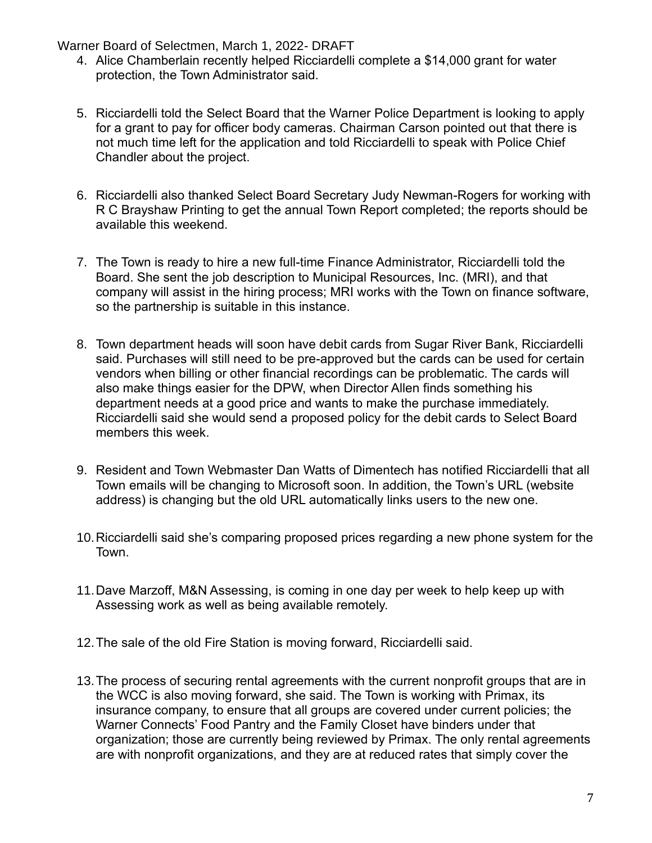- 4. Alice Chamberlain recently helped Ricciardelli complete a \$14,000 grant for water protection, the Town Administrator said.
- 5. Ricciardelli told the Select Board that the Warner Police Department is looking to apply for a grant to pay for officer body cameras. Chairman Carson pointed out that there is not much time left for the application and told Ricciardelli to speak with Police Chief Chandler about the project.
- 6. Ricciardelli also thanked Select Board Secretary Judy Newman-Rogers for working with R C Brayshaw Printing to get the annual Town Report completed; the reports should be available this weekend.
- 7. The Town is ready to hire a new full-time Finance Administrator, Ricciardelli told the Board. She sent the job description to Municipal Resources, Inc. (MRI), and that company will assist in the hiring process; MRI works with the Town on finance software, so the partnership is suitable in this instance.
- 8. Town department heads will soon have debit cards from Sugar River Bank, Ricciardelli said. Purchases will still need to be pre-approved but the cards can be used for certain vendors when billing or other financial recordings can be problematic. The cards will also make things easier for the DPW, when Director Allen finds something his department needs at a good price and wants to make the purchase immediately. Ricciardelli said she would send a proposed policy for the debit cards to Select Board members this week.
- 9. Resident and Town Webmaster Dan Watts of Dimentech has notified Ricciardelli that all Town emails will be changing to Microsoft soon. In addition, the Town's URL (website address) is changing but the old URL automatically links users to the new one.
- 10.Ricciardelli said she's comparing proposed prices regarding a new phone system for the Town.
- 11.Dave Marzoff, M&N Assessing, is coming in one day per week to help keep up with Assessing work as well as being available remotely.
- 12.The sale of the old Fire Station is moving forward, Ricciardelli said.
- 13.The process of securing rental agreements with the current nonprofit groups that are in the WCC is also moving forward, she said. The Town is working with Primax, its insurance company, to ensure that all groups are covered under current policies; the Warner Connects' Food Pantry and the Family Closet have binders under that organization; those are currently being reviewed by Primax. The only rental agreements are with nonprofit organizations, and they are at reduced rates that simply cover the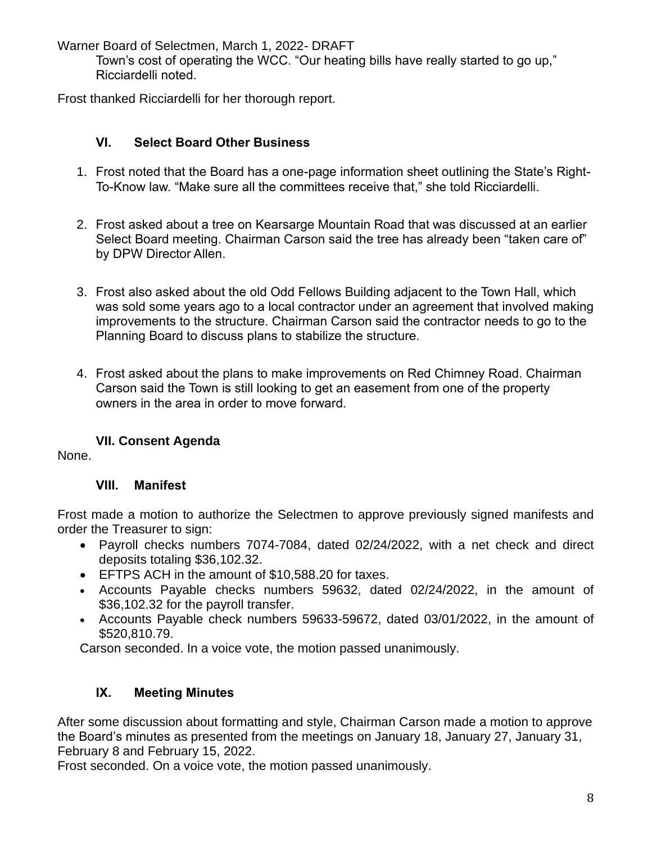Town's cost of operating the WCC. "Our heating bills have really started to go up," Ricciardelli noted.

Frost thanked Ricciardelli for her thorough report.

# **VI. Select Board Other Business**

- 1. Frost noted that the Board has a one-page information sheet outlining the State's Right-To-Know law. "Make sure all the committees receive that," she told Ricciardelli.
- 2. Frost asked about a tree on Kearsarge Mountain Road that was discussed at an earlier Select Board meeting. Chairman Carson said the tree has already been "taken care of" by DPW Director Allen.
- 3. Frost also asked about the old Odd Fellows Building adjacent to the Town Hall, which was sold some years ago to a local contractor under an agreement that involved making improvements to the structure. Chairman Carson said the contractor needs to go to the Planning Board to discuss plans to stabilize the structure.
- 4. Frost asked about the plans to make improvements on Red Chimney Road. Chairman Carson said the Town is still looking to get an easement from one of the property owners in the area in order to move forward.

# **VII. Consent Agenda**

None.

# **VIII. Manifest**

Frost made a motion to authorize the Selectmen to approve previously signed manifests and order the Treasurer to sign:

- Payroll checks numbers 7074-7084, dated 02/24/2022, with a net check and direct deposits totaling \$36,102.32.
- EFTPS ACH in the amount of \$10,588.20 for taxes.
- Accounts Payable checks numbers 59632, dated 02/24/2022, in the amount of \$36,102.32 for the payroll transfer.
- Accounts Payable check numbers 59633-59672, dated 03/01/2022, in the amount of \$520,810.79.

Carson seconded. In a voice vote, the motion passed unanimously.

# **IX. Meeting Minutes**

After some discussion about formatting and style, Chairman Carson made a motion to approve the Board's minutes as presented from the meetings on January 18, January 27, January 31, February 8 and February 15, 2022.

Frost seconded. On a voice vote, the motion passed unanimously.